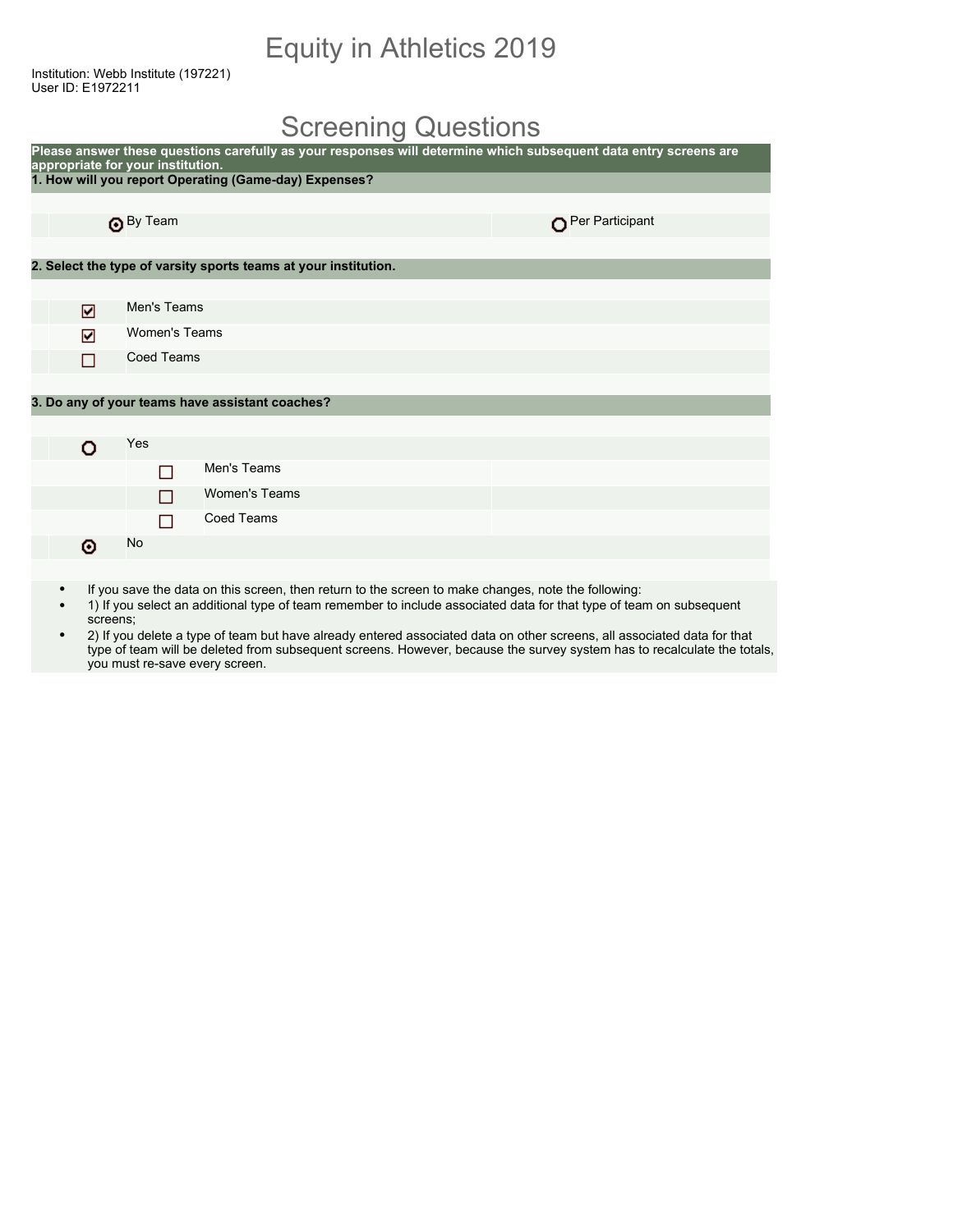### Equity in Athletics 2019

Institution: Webb Institute (197221) User ID: E1972211

### Screening Questions

| Please answer these questions carefully as your responses will determine which subsequent data entry screens are<br>appropriate for your institution. |                      |  |                                                                 |                 |  |
|-------------------------------------------------------------------------------------------------------------------------------------------------------|----------------------|--|-----------------------------------------------------------------|-----------------|--|
|                                                                                                                                                       |                      |  | 1. How will you report Operating (Game-day) Expenses?           |                 |  |
|                                                                                                                                                       |                      |  |                                                                 |                 |  |
|                                                                                                                                                       | By Team              |  |                                                                 | Per Participant |  |
|                                                                                                                                                       |                      |  |                                                                 |                 |  |
|                                                                                                                                                       |                      |  | 2. Select the type of varsity sports teams at your institution. |                 |  |
|                                                                                                                                                       |                      |  |                                                                 |                 |  |
| ☑                                                                                                                                                     | Men's Teams          |  |                                                                 |                 |  |
| ☑                                                                                                                                                     | <b>Women's Teams</b> |  |                                                                 |                 |  |
| П                                                                                                                                                     | <b>Coed Teams</b>    |  |                                                                 |                 |  |
|                                                                                                                                                       |                      |  |                                                                 |                 |  |
|                                                                                                                                                       |                      |  | 3. Do any of your teams have assistant coaches?                 |                 |  |
|                                                                                                                                                       |                      |  |                                                                 |                 |  |
| o                                                                                                                                                     | Yes                  |  |                                                                 |                 |  |
|                                                                                                                                                       | □                    |  | Men's Teams                                                     |                 |  |
|                                                                                                                                                       |                      |  | <b>Women's Teams</b>                                            |                 |  |
|                                                                                                                                                       | П                    |  | <b>Coed Teams</b>                                               |                 |  |
| ⊙                                                                                                                                                     | No                   |  |                                                                 |                 |  |
|                                                                                                                                                       |                      |  |                                                                 |                 |  |

- If you save the data on this screen, then return to the screen to make changes, note the following:
- 1) If you select an additional type of team remember to include associated data for that type of team on subsequent screens;
- 2) If you delete a type of team but have already entered associated data on other screens, all associated data for that type of team will be deleted from subsequent screens. However, because the survey system has to recalculate the totals, you must re-save every screen.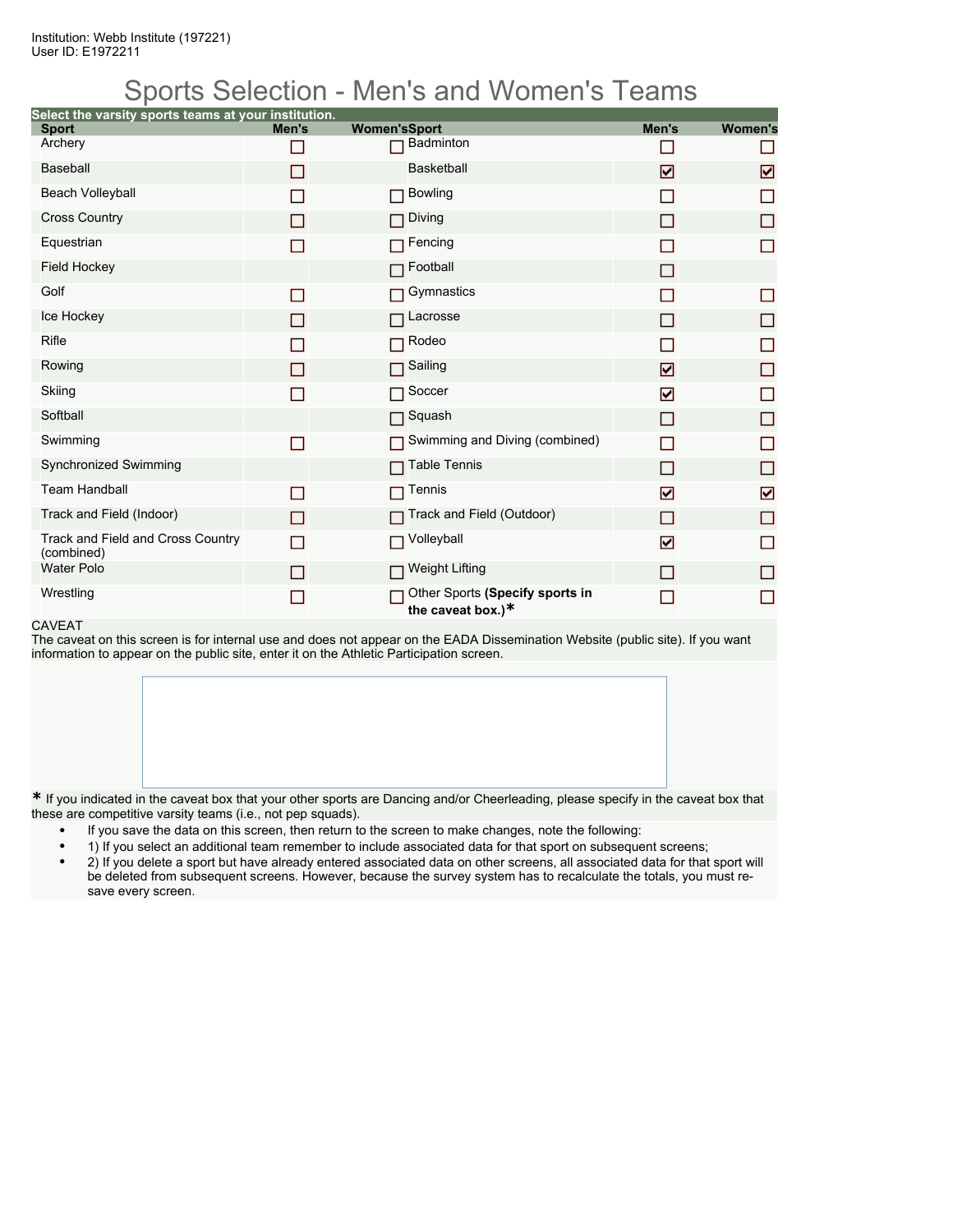### Sports Selection - Men's and Women's Teams

| Select the varsity sports teams at your institution. |            |                                                      |       |                |
|------------------------------------------------------|------------|------------------------------------------------------|-------|----------------|
| <b>Sport</b><br>Archery                              | Men's<br>▛ | <b>Women'sSport</b><br><b>Badminton</b>              | Men's | <b>Women's</b> |
| Baseball                                             |            | <b>Basketball</b>                                    |       |                |
|                                                      | П          |                                                      | ☑     | ☑              |
| <b>Beach Volleyball</b>                              | ■          | <b>Bowling</b><br>П                                  | □     | П              |
| <b>Cross Country</b>                                 | $\Box$     | Diving<br>П                                          | П     | П              |
| Equestrian                                           | П          | Fencing                                              |       | П              |
| <b>Field Hockey</b>                                  |            | Football<br>П                                        | П     |                |
| Golf                                                 | П          | Gymnastics                                           |       | □              |
| Ice Hockey                                           | П          | Lacrosse<br>П                                        | П     | □              |
| Rifle                                                | ▛          | Rodeo<br>П                                           |       | $\Box$         |
| Rowing                                               | П          | Sailing<br>П                                         | ☑     | $\Box$         |
| Skiing                                               | П          | Soccer<br>П                                          | ☑     | П              |
| Softball                                             |            | Squash<br>П                                          | П     | □              |
| Swimming                                             | П          | Swimming and Diving (combined)<br>П                  | П     | □              |
| Synchronized Swimming                                |            | <b>Table Tennis</b><br>П                             | П     | □              |
| <b>Team Handball</b>                                 | П          | Tennis                                               | ☑     | ☑              |
| Track and Field (Indoor)                             | П          | Track and Field (Outdoor)                            | П     | □              |
| Track and Field and Cross Country<br>(combined)      | П          | Volleyball<br>П                                      | ☑     | П              |
| <b>Water Polo</b>                                    | П          | Weight Lifting<br>П                                  | П     | П              |
| Wrestling                                            | ▛          | Other Sports (Specify sports in<br>the caveat box.)* |       | П              |

#### CAVEAT

The caveat on this screen is for internal use and does not appear on the EADA Dissemination Website (public site). If you want information to appear on the public site, enter it on the Athletic Participation screen.

**\*** If you indicated in the caveat box that your other sports are Dancing and/or Cheerleading, please specify in the caveat box that these are competitive varsity teams (i.e., not pep squads).

- If you save the data on this screen, then return to the screen to make changes, note the following:
- 1) If you select an additional team remember to include associated data for that sport on subsequent screens;
- 2) If you delete a sport but have already entered associated data on other screens, all associated data for that sport will be deleted from subsequent screens. However, because the survey system has to recalculate the totals, you must resave every screen.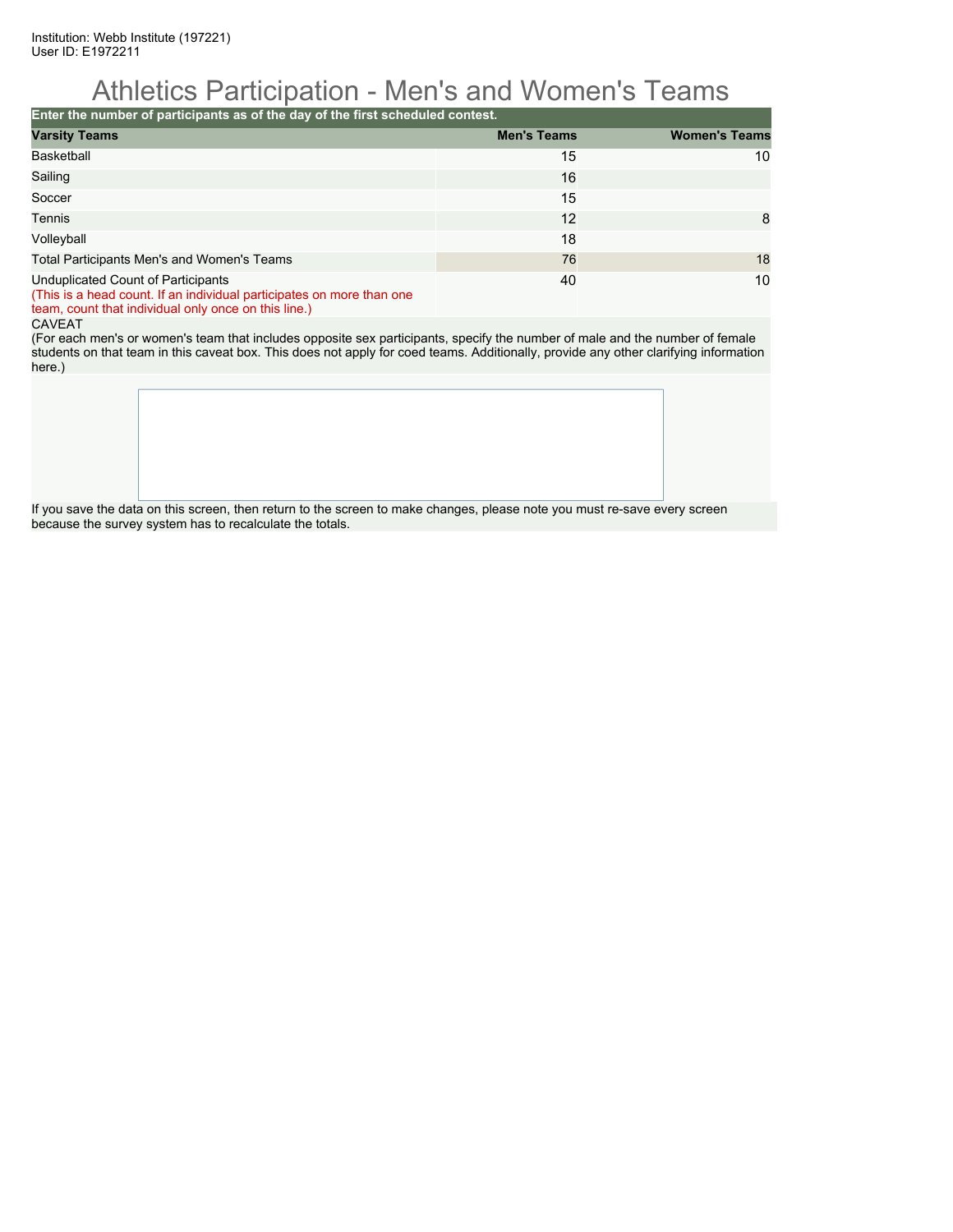### Athletics Participation - Men's and Women's Teams

**Enter the number of participants as of the day of the first scheduled contest.**

| <b>Varsity Teams</b>                                                                                                                                                | <b>Men's Teams</b> | <b>Women's Teams</b> |
|---------------------------------------------------------------------------------------------------------------------------------------------------------------------|--------------------|----------------------|
| <b>Basketball</b>                                                                                                                                                   | 15                 | 10                   |
| Sailing                                                                                                                                                             | 16                 |                      |
| Soccer                                                                                                                                                              | 15                 |                      |
| Tennis                                                                                                                                                              | 12                 | 8                    |
| Volleyball                                                                                                                                                          | 18                 |                      |
| Total Participants Men's and Women's Teams                                                                                                                          | 76                 | 18                   |
| Unduplicated Count of Participants<br>(This is a head count. If an individual participates on more than one<br>team, count that individual only once on this line.) | 40                 | 10                   |

#### CAVEAT

(For each men's or women's team that includes opposite sex participants, specify the number of male and the number of female students on that team in this caveat box. This does not apply for coed teams. Additionally, provide any other clarifying information here.)

If you save the data on this screen, then return to the screen to make changes, please note you must re-save every screen because the survey system has to recalculate the totals.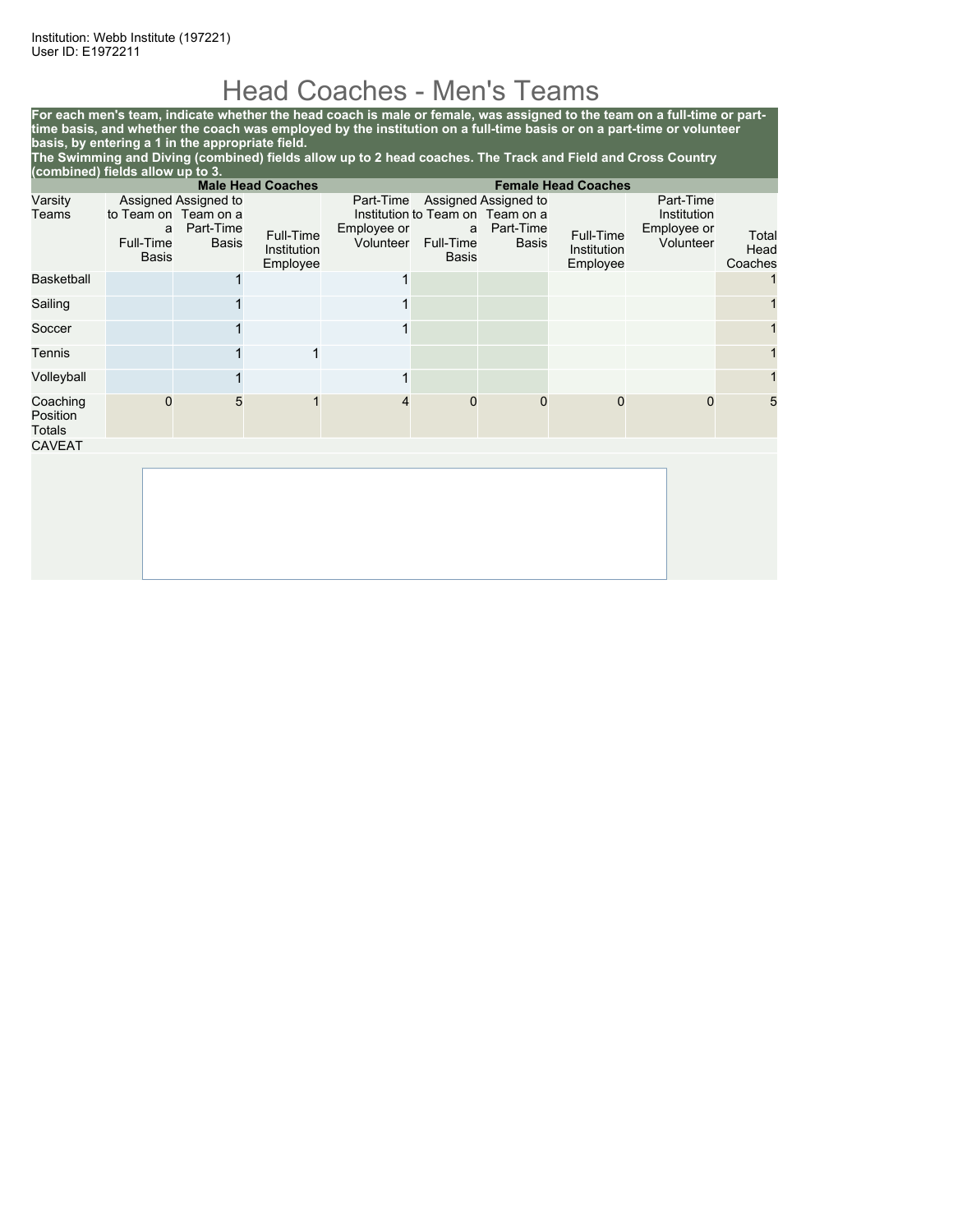### Head Coaches - Men's Teams

**For each men's team, indicate whether the head coach is male or female, was assigned to the team on a full-time or parttime basis, and whether the coach was employed by the institution on a full-time basis or on a part-time or volunteer basis, by entering a 1 in the appropriate field.**

**The Swimming and Diving (combined) fields allow up to 2 head coaches. The Track and Field and Cross Country (combined) fields allow up to 3.**

| <b>Male Head Coaches</b><br><b>Female Head Coaches</b> |                                |                                                                           |                                      |                                       |                         |                                                                                |                                      |                                                      |                          |
|--------------------------------------------------------|--------------------------------|---------------------------------------------------------------------------|--------------------------------------|---------------------------------------|-------------------------|--------------------------------------------------------------------------------|--------------------------------------|------------------------------------------------------|--------------------------|
| Varsity<br>Teams                                       | a<br>Full-Time<br><b>Basis</b> | Assigned Assigned to<br>to Team on Team on a<br>Part-Time<br><b>Basis</b> | Full-Time<br>Institution<br>Employee | Part-Time<br>Employee or<br>Volunteer | a<br>Full-Time<br>Basis | Assigned Assigned to<br>Institution to Team on Team on a<br>Part-Time<br>Basis | Full-Time<br>Institution<br>Employee | Part-Time<br>Institution<br>Employee or<br>Volunteer | Total<br>Head<br>Coaches |
| <b>Basketball</b>                                      |                                |                                                                           |                                      |                                       |                         |                                                                                |                                      |                                                      |                          |
| Sailing                                                |                                |                                                                           |                                      |                                       |                         |                                                                                |                                      |                                                      |                          |
| Soccer                                                 |                                |                                                                           |                                      |                                       |                         |                                                                                |                                      |                                                      |                          |
| Tennis                                                 |                                |                                                                           | 1                                    |                                       |                         |                                                                                |                                      |                                                      |                          |
| Volleyball                                             |                                |                                                                           |                                      |                                       |                         |                                                                                |                                      |                                                      |                          |
| Coaching<br>Position<br>Totals                         | $\mathbf 0$                    | 5                                                                         | 1                                    | 4                                     | 0                       | 0                                                                              | $\mathbf 0$                          | $\mathbf 0$                                          | 5                        |
| <b>CAVEAT</b>                                          |                                |                                                                           |                                      |                                       |                         |                                                                                |                                      |                                                      |                          |
|                                                        |                                |                                                                           |                                      |                                       |                         |                                                                                |                                      |                                                      |                          |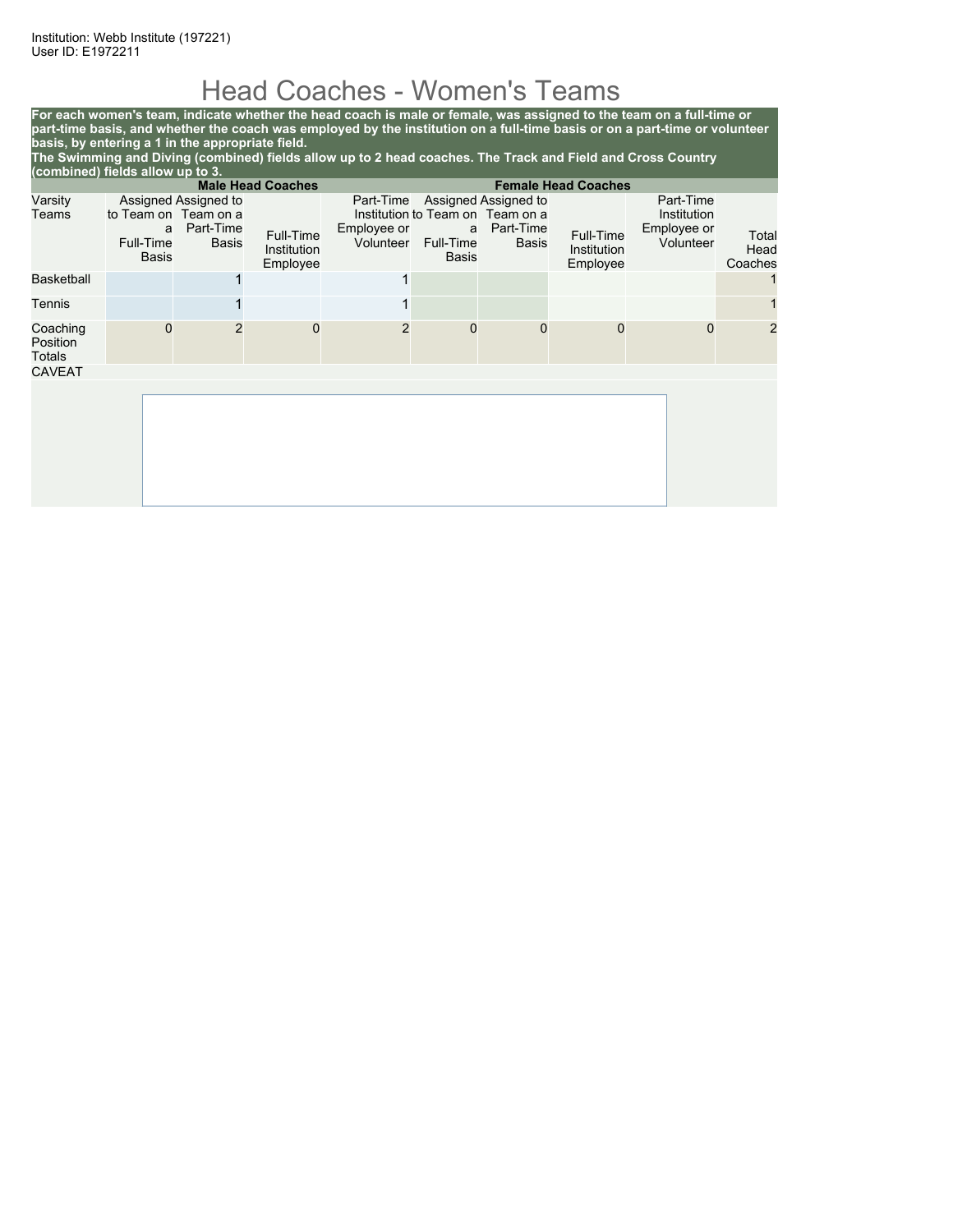## Head Coaches - Women's Teams

**For each women's team, indicate whether the head coach is male or female, was assigned to the team on a full-time or part-time basis, and whether the coach was employed by the institution on a full-time basis or on a part-time or volunteer basis, by entering a 1 in the appropriate field. The Swimming and Diving (combined) fields allow up to 2 head coaches. The Track and Field and Cross Country**

| (combined) fields allow up to 3. |                                                 |                                            |                                      |                |                                     |                                                                                                   |                                      |                                                      |                          |
|----------------------------------|-------------------------------------------------|--------------------------------------------|--------------------------------------|----------------|-------------------------------------|---------------------------------------------------------------------------------------------------|--------------------------------------|------------------------------------------------------|--------------------------|
|                                  |                                                 |                                            | <b>Male Head Coaches</b>             |                |                                     |                                                                                                   | <b>Female Head Coaches</b>           |                                                      |                          |
| Varsity<br>Teams                 | to Team on Team on a<br>a<br>Full-Time<br>Basis | Assigned Assigned to<br>Part-Time<br>Basis | Full-Time<br>Institution<br>Employee | Employee or    | Volunteer Full-Time<br><b>Basis</b> | Part-Time Assigned Assigned to<br>Institution to Team on Team on a<br>a Part-Time<br><b>Basis</b> | Full-Time<br>Institution<br>Employee | Part-Time<br>Institution<br>Employee or<br>Volunteer | Total<br>Head<br>Coaches |
| <b>Basketball</b>                |                                                 |                                            |                                      | 1              |                                     |                                                                                                   |                                      |                                                      |                          |
| Tennis                           |                                                 |                                            |                                      |                |                                     |                                                                                                   |                                      |                                                      |                          |
| Coaching<br>Position<br>Totals   | 0                                               |                                            | 0                                    | $\overline{2}$ | $\mathbf 0$                         | $\Omega$                                                                                          | $\Omega$                             | 0                                                    | $\overline{2}$           |
| <b>CAVEAT</b>                    |                                                 |                                            |                                      |                |                                     |                                                                                                   |                                      |                                                      |                          |
|                                  |                                                 |                                            |                                      |                |                                     |                                                                                                   |                                      |                                                      |                          |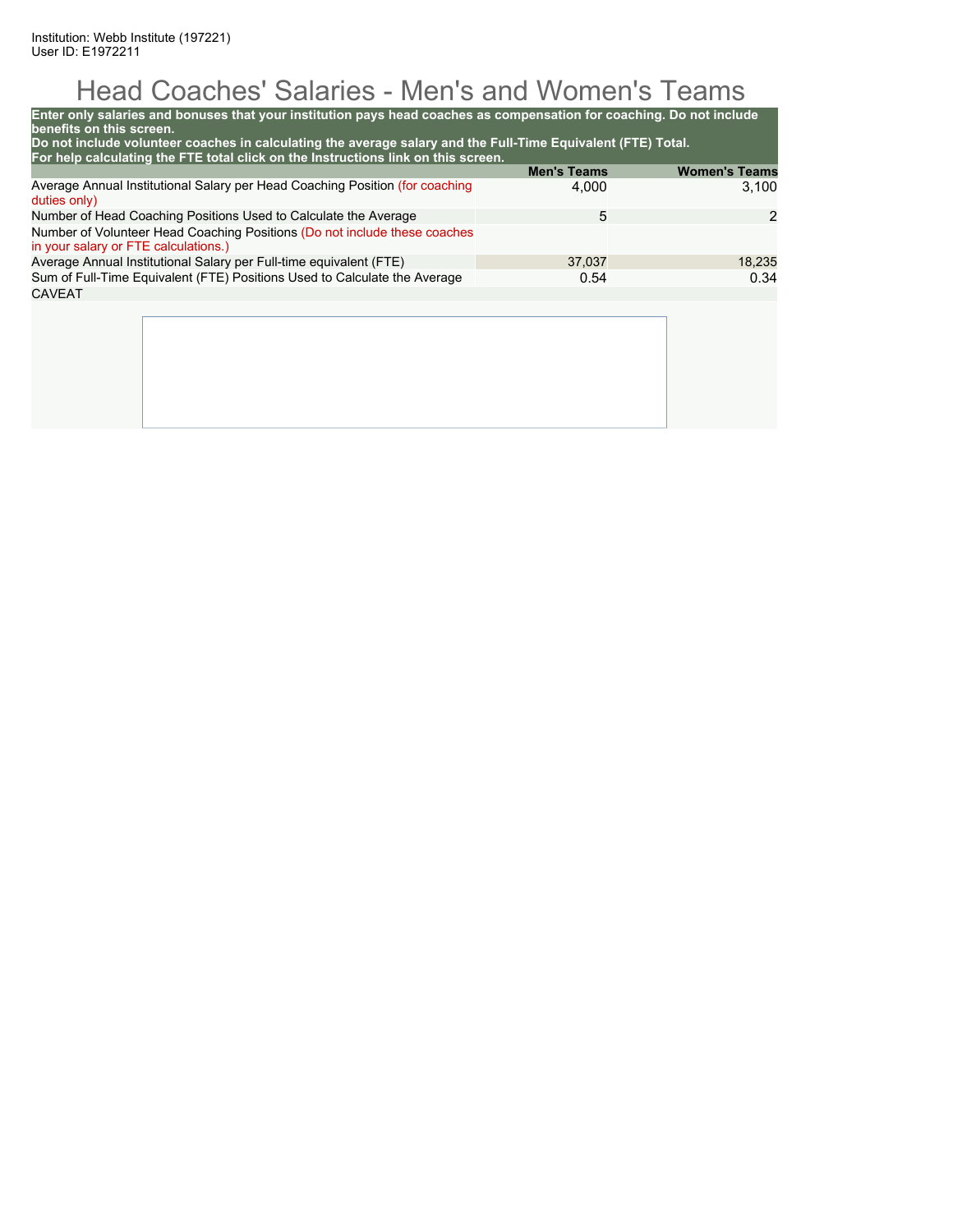# Head Coaches' Salaries - Men's and Women's Teams

| Enter only salaries and bonuses that your institution pays head coaches as compensation for coaching. Do not include<br>benefits on this screen.<br>Do not include volunteer coaches in calculating the average salary and the Full-Time Equivalent (FTE) Total. |                    |                      |
|------------------------------------------------------------------------------------------------------------------------------------------------------------------------------------------------------------------------------------------------------------------|--------------------|----------------------|
| For help calculating the FTE total click on the Instructions link on this screen.                                                                                                                                                                                | <b>Men's Teams</b> | <b>Women's Teams</b> |
| Average Annual Institutional Salary per Head Coaching Position (for coaching<br>duties only)                                                                                                                                                                     | 4,000              | 3.100                |
| Number of Head Coaching Positions Used to Calculate the Average                                                                                                                                                                                                  | 5                  | 2                    |
| Number of Volunteer Head Coaching Positions (Do not include these coaches<br>in your salary or FTE calculations.)                                                                                                                                                |                    |                      |
| Average Annual Institutional Salary per Full-time equivalent (FTE)                                                                                                                                                                                               | 37.037             | 18,235               |
| Sum of Full-Time Equivalent (FTE) Positions Used to Calculate the Average                                                                                                                                                                                        | 0.54               | 0.34                 |
| CAVEAT                                                                                                                                                                                                                                                           |                    |                      |
|                                                                                                                                                                                                                                                                  |                    |                      |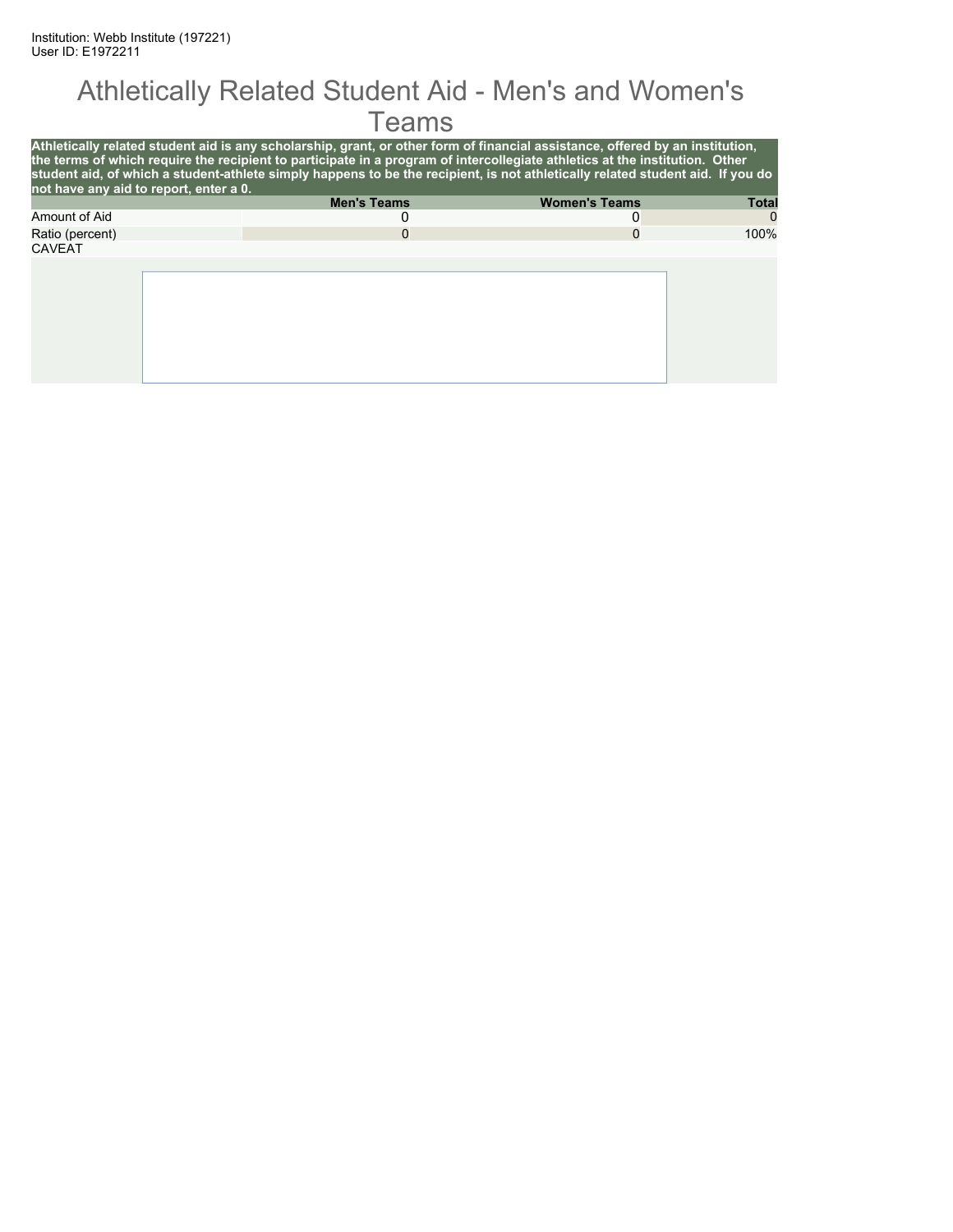#### Athletically Related Student Aid - Men's and Women's **Teams**

| not have any aid to report, enter a 0. | Athletically related student aid is any scholarship, grant, or other form of financial assistance, offered by an institution,<br>the terms of which require the recipient to participate in a program of intercollegiate athletics at the institution. Other<br>student aid, of which a student-athlete simply happens to be the recipient, is not athletically related student aid. If you do |                      |              |
|----------------------------------------|------------------------------------------------------------------------------------------------------------------------------------------------------------------------------------------------------------------------------------------------------------------------------------------------------------------------------------------------------------------------------------------------|----------------------|--------------|
|                                        | <b>Men's Teams</b>                                                                                                                                                                                                                                                                                                                                                                             | <b>Women's Teams</b> | <b>Total</b> |
| Amount of Aid                          |                                                                                                                                                                                                                                                                                                                                                                                                | O                    | $\Omega$     |
| Ratio (percent)                        |                                                                                                                                                                                                                                                                                                                                                                                                | 0                    | 100%         |
| <b>CAVEAT</b>                          |                                                                                                                                                                                                                                                                                                                                                                                                |                      |              |
|                                        |                                                                                                                                                                                                                                                                                                                                                                                                |                      |              |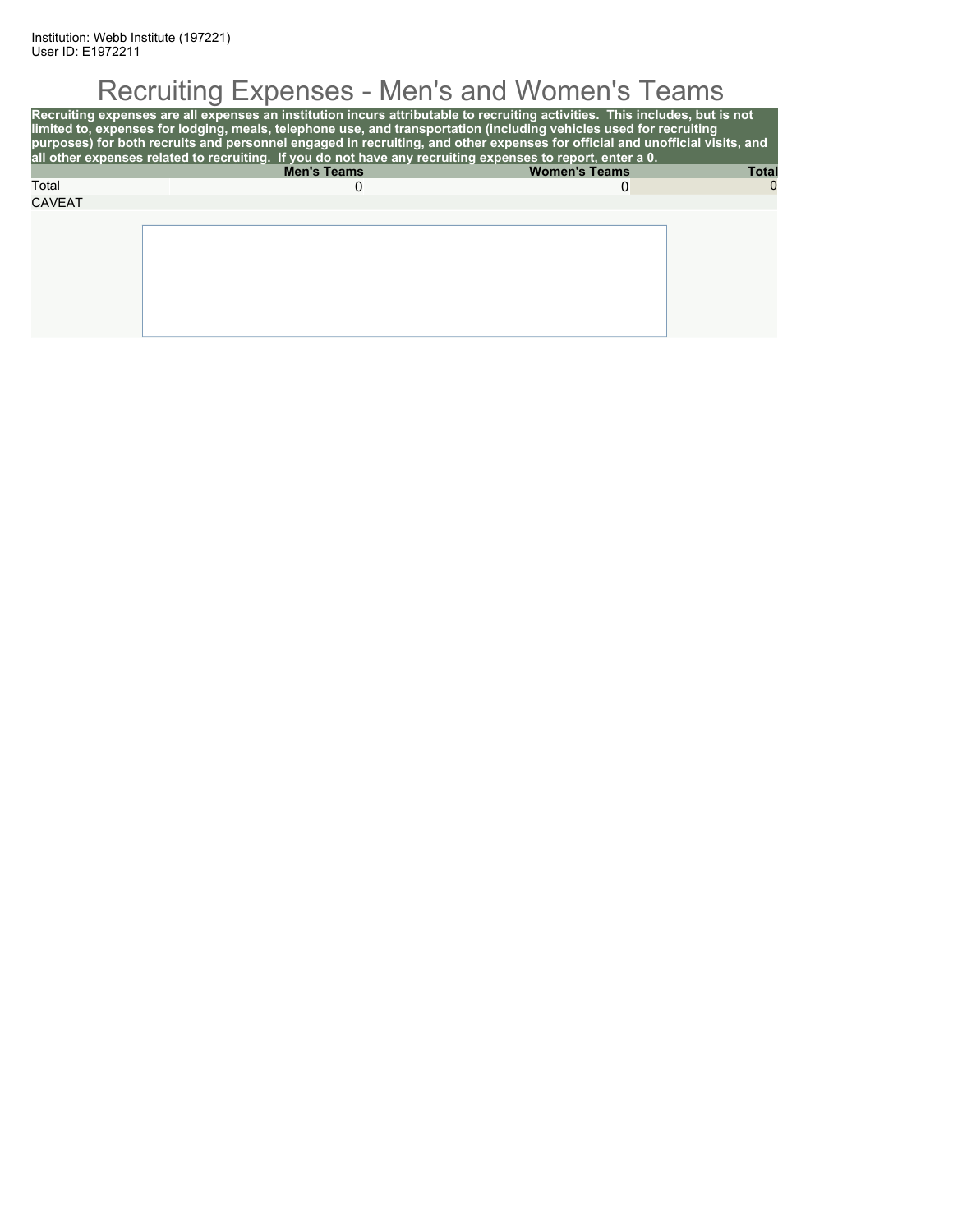# Recruiting Expenses - Men's and Women's Teams

| Recruiting expenses are all expenses an institution incurs attributable to recruiting activities. This includes, but is not<br>limited to, expenses for lodging, meals, telephone use, and transportation (including vehicles used for recruiting<br>purposes) for both recruits and personnel engaged in recruiting, and other expenses for official and unofficial visits, and<br>all other expenses related to recruiting. If you do not have any recruiting expenses to report, enter a 0. |                    |                      |              |  |  |  |  |
|------------------------------------------------------------------------------------------------------------------------------------------------------------------------------------------------------------------------------------------------------------------------------------------------------------------------------------------------------------------------------------------------------------------------------------------------------------------------------------------------|--------------------|----------------------|--------------|--|--|--|--|
|                                                                                                                                                                                                                                                                                                                                                                                                                                                                                                | <b>Men's Teams</b> | <b>Women's Teams</b> | <b>Total</b> |  |  |  |  |
| Total                                                                                                                                                                                                                                                                                                                                                                                                                                                                                          |                    | O                    | $\Omega$     |  |  |  |  |
| <b>CAVEAT</b>                                                                                                                                                                                                                                                                                                                                                                                                                                                                                  |                    |                      |              |  |  |  |  |
|                                                                                                                                                                                                                                                                                                                                                                                                                                                                                                |                    |                      |              |  |  |  |  |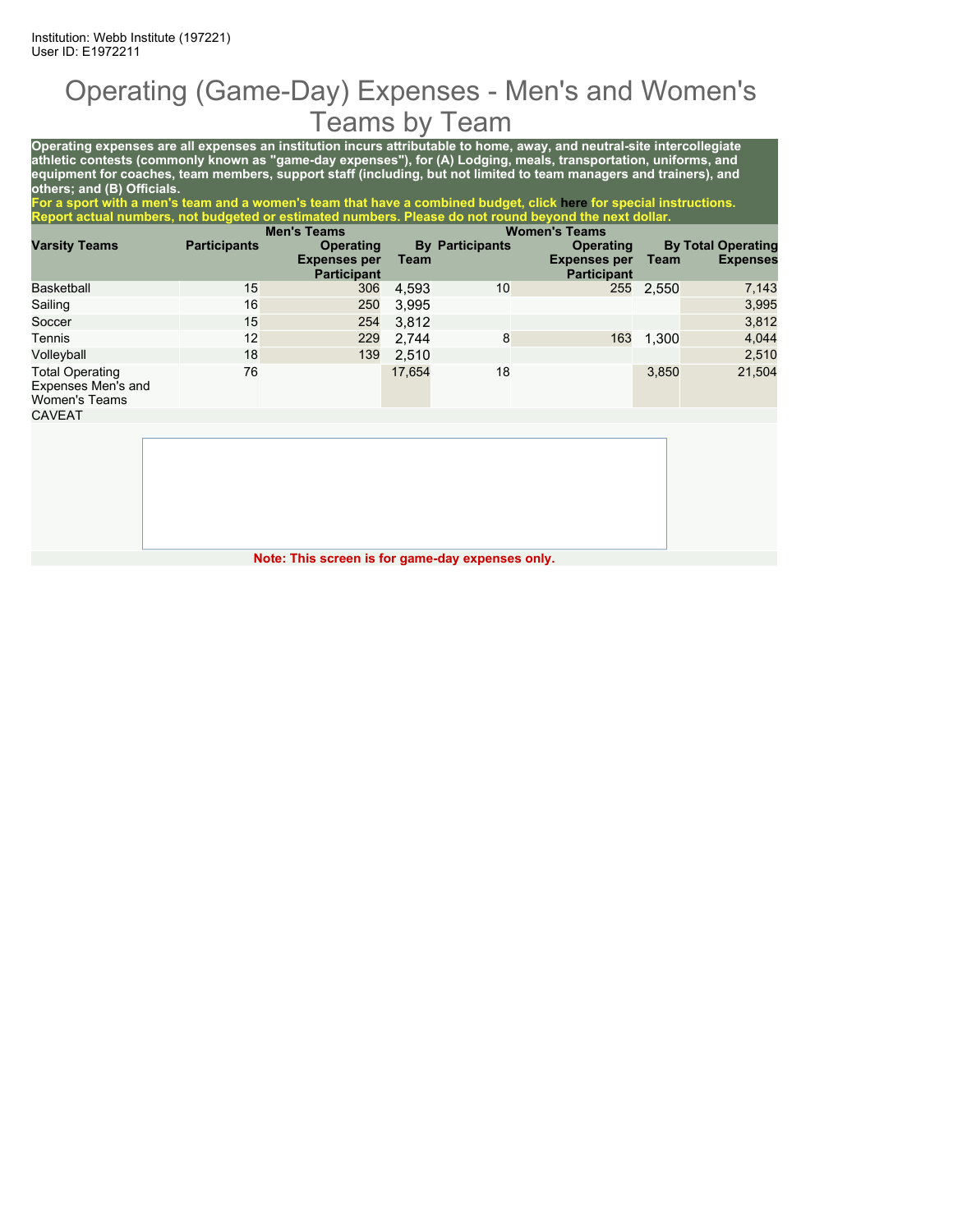### Operating (Game-Day) Expenses - Men's and Women's Teams by Team

**Operating expenses are all expenses an institution incurs attributable to home, away, and neutral-site intercollegiate athletic contests (commonly known as "game-day expenses"), for (A) Lodging, meals, transportation, uniforms, and equipment for coaches, team members, support staff (including, but not limited to team managers and trainers), and others; and (B) Officials.**

**For a sport with a men's team and a women's team that have a combined budget, click here for special instructions. Report actual numbers, not budgeted or estimated numbers. Please do not round beyond the next dollar.**

|                                                               |                     | <b>Men's Teams</b>                      |        |                        | <b>Women's Teams</b>                    |           |                                              |
|---------------------------------------------------------------|---------------------|-----------------------------------------|--------|------------------------|-----------------------------------------|-----------|----------------------------------------------|
| <b>Varsity Teams</b>                                          | <b>Participants</b> | <b>Operating</b><br><b>Expenses per</b> | Team   | <b>By Participants</b> | <b>Operating</b><br><b>Expenses per</b> | Team      | <b>By Total Operating</b><br><b>Expenses</b> |
|                                                               |                     | <b>Participant</b>                      |        |                        | <b>Participant</b>                      |           |                                              |
| Basketball                                                    | 15                  | 306                                     | 4,593  | 10                     |                                         | 255 2,550 | 7,143                                        |
| Sailing                                                       | 16                  | 250                                     | 3,995  |                        |                                         |           | 3,995                                        |
| Soccer                                                        | 15                  | 254                                     | 3,812  |                        |                                         |           | 3,812                                        |
| Tennis                                                        | 12                  | 229                                     | 2,744  | 8                      | 163                                     | 1,300     | 4,044                                        |
| Volleyball                                                    | 18                  | 139                                     | 2,510  |                        |                                         |           | 2,510                                        |
| <b>Total Operating</b><br>Expenses Men's and<br>Women's Teams | 76                  |                                         | 17,654 | 18                     |                                         | 3,850     | 21,504                                       |
| CAVEAT                                                        |                     |                                         |        |                        |                                         |           |                                              |

**Note: This screen is for game-day expenses only.**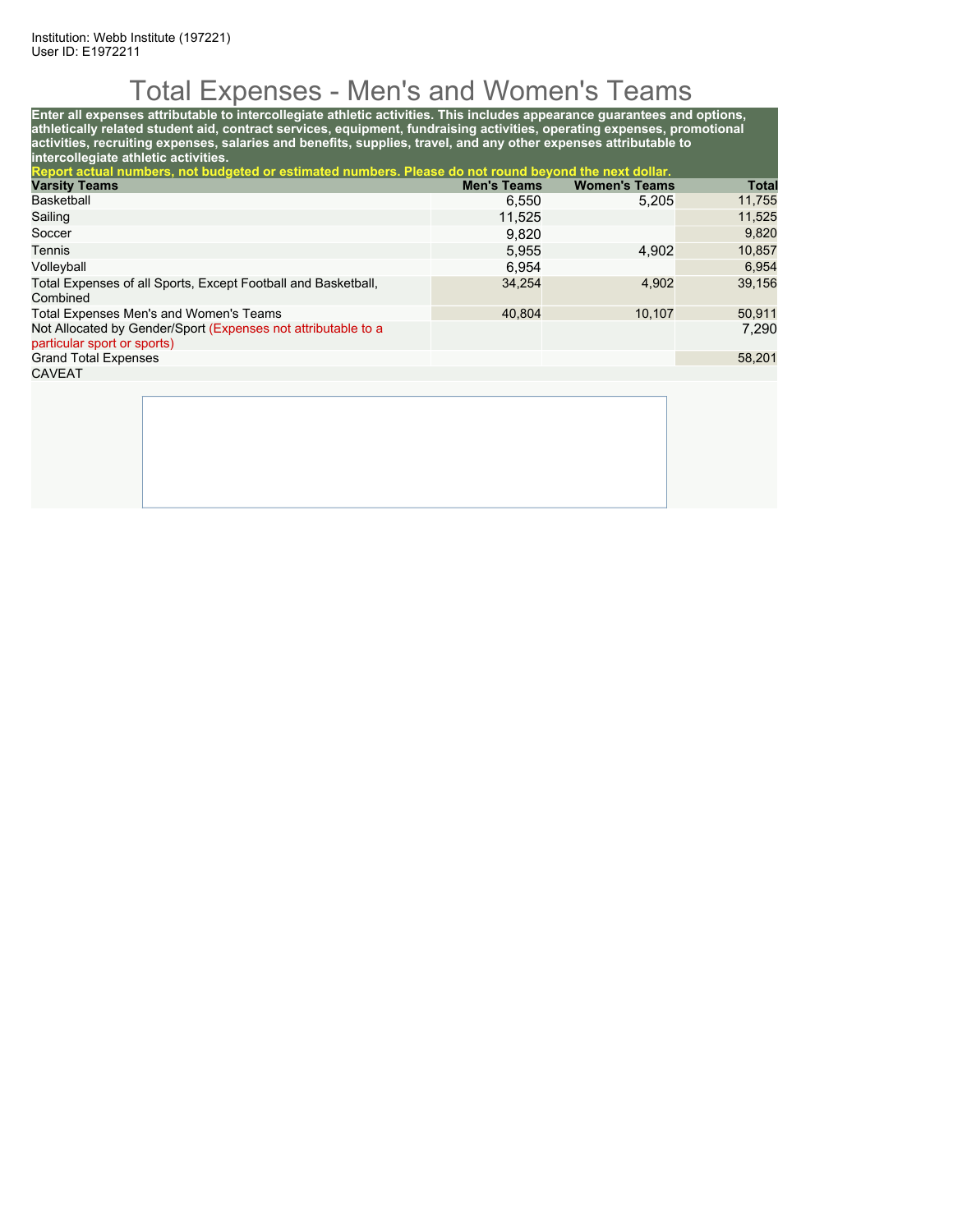## Total Expenses - Men's and Women's Teams

**Enter all expenses attributable to intercollegiate athletic activities. This includes appearance guarantees and options, athletically related student aid, contract services, equipment, fundraising activities, operating expenses, promotional activities, recruiting expenses, salaries and benefits, supplies, travel, and any other expenses attributable to intercollegiate athletic activities. Report actual numbers, not budgeted or estimated numbers. Please do not round beyond the next dollar. Varsity Teams Men's Teams Women's Teams Total** Basketball 6,550 5,205 11,755  $\blacksquare$  Sailing  $\blacksquare$  11,525  $\blacksquare$  11,525  $\blacksquare$  11,525  $\blacksquare$  11,525  $\blacksquare$  11,525  $\blacksquare$  11,525  $\blacksquare$  11,525  $\blacksquare$ 

| Soccer                                                                                       | 9.820  |        | 9,820  |
|----------------------------------------------------------------------------------------------|--------|--------|--------|
| Tennis                                                                                       | 5.955  | 4.902  | 10.857 |
| Volleyball                                                                                   | 6.954  |        | 6.954  |
| Total Expenses of all Sports, Except Football and Basketball,<br>Combined                    | 34.254 | 4.902  | 39,156 |
| Total Expenses Men's and Women's Teams                                                       | 40.804 | 10.107 | 50.911 |
| Not Allocated by Gender/Sport (Expenses not attributable to a<br>particular sport or sports) |        |        | 7,290  |
| <b>Grand Total Expenses</b>                                                                  |        |        | 58.201 |
| <b>CAVEAT</b>                                                                                |        |        |        |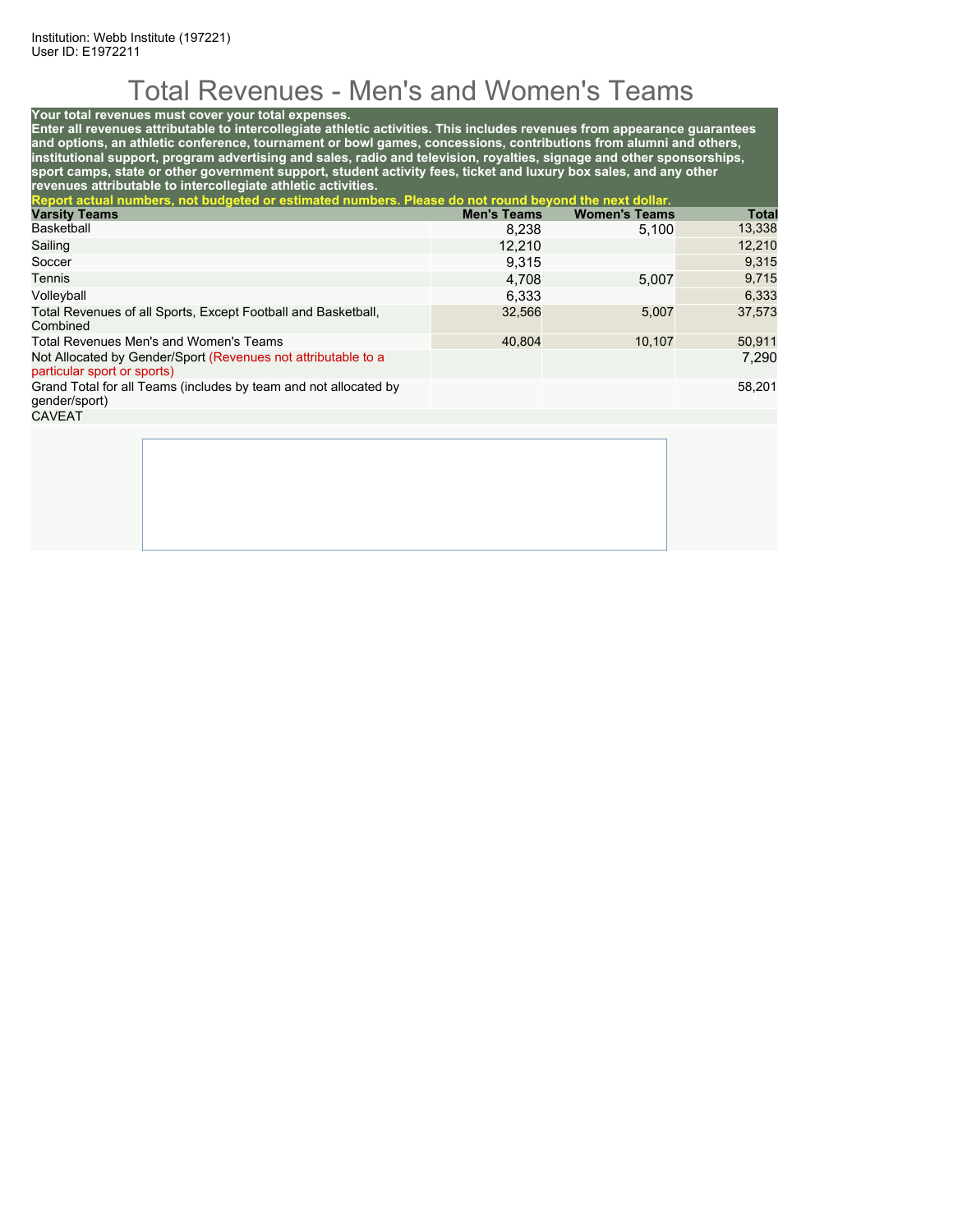## Total Revenues - Men's and Women's Teams

#### **Your total revenues must cover your total expenses.**

**Enter all revenues attributable to intercollegiate athletic activities. This includes revenues from appearance guarantees and options, an athletic conference, tournament or bowl games, concessions, contributions from alumni and others, institutional support, program advertising and sales, radio and television, royalties, signage and other sponsorships, sport camps, state or other government support, student activity fees, ticket and luxury box sales, and any other revenues attributable to intercollegiate athletic activities.**

| Report actual numbers, not budgeted or estimated numbers. Please do not round beyond the next dollar. |                    |                      |              |
|-------------------------------------------------------------------------------------------------------|--------------------|----------------------|--------------|
| <b>Varsity Teams</b>                                                                                  | <b>Men's Teams</b> | <b>Women's Teams</b> | <b>Total</b> |
| <b>Basketball</b>                                                                                     | 8.238              | 5.100                | 13,338       |
| Sailing                                                                                               | 12,210             |                      | 12,210       |
| Soccer                                                                                                | 9.315              |                      | 9,315        |
| Tennis                                                                                                | 4,708              | 5.007                | 9,715        |
| Volleyball                                                                                            | 6.333              |                      | 6,333        |
| Total Revenues of all Sports, Except Football and Basketball,<br>Combined                             | 32,566             | 5,007                | 37.573       |
| Total Revenues Men's and Women's Teams                                                                | 40.804             | 10.107               | 50,911       |
| Not Allocated by Gender/Sport (Revenues not attributable to a<br>particular sport or sports)          |                    |                      | 7.290        |
| Grand Total for all Teams (includes by team and not allocated by<br>gender/sport)                     |                    |                      | 58,201       |
| <b>CAVEAT</b>                                                                                         |                    |                      |              |
|                                                                                                       |                    |                      |              |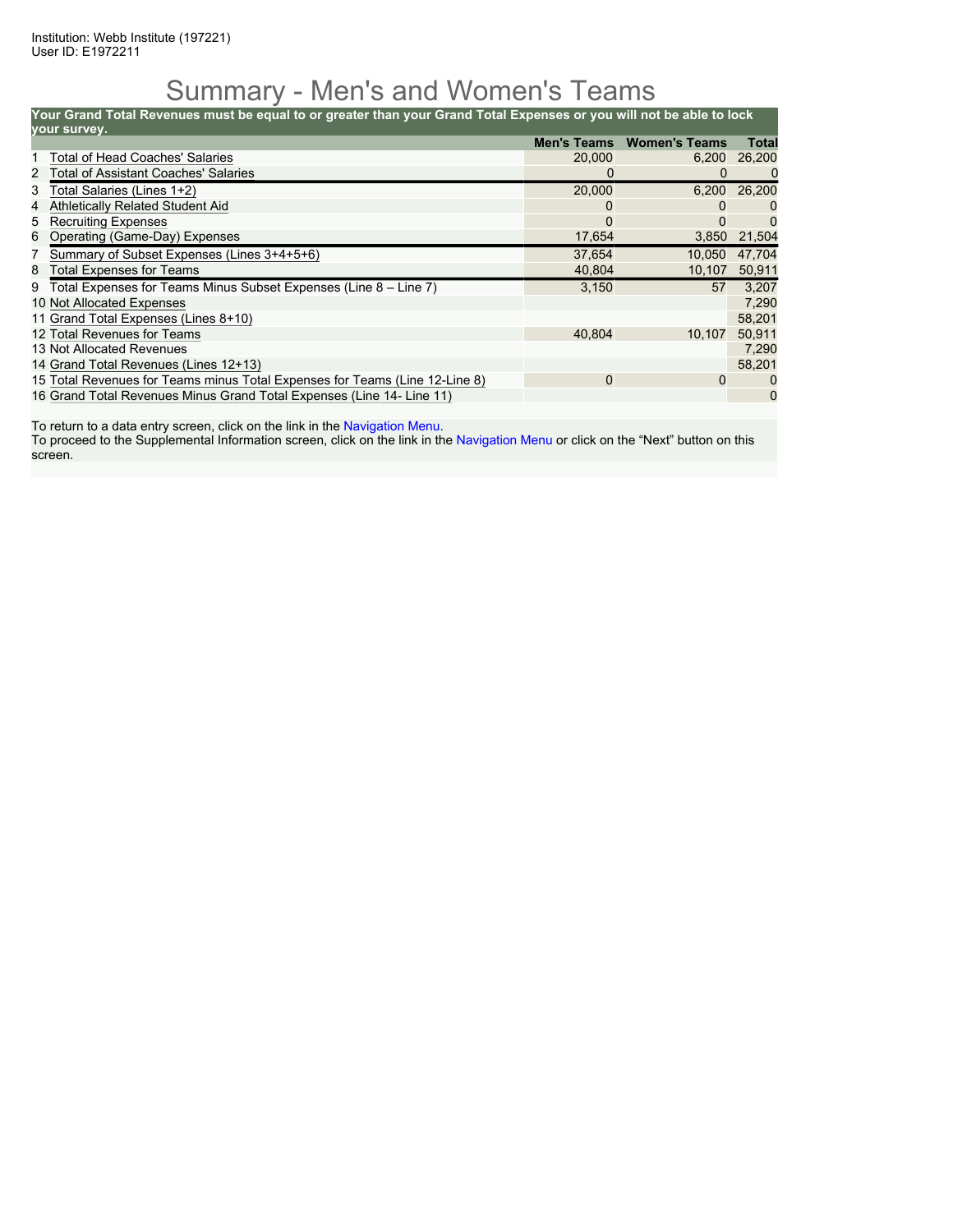#### Summary - Men's and Women's Teams

**Your Grand Total Revenues must be equal to or greater than your Grand Total Expenses or you will not be able to lock**

|   | your survey.                                                                |                    |                      |        |
|---|-----------------------------------------------------------------------------|--------------------|----------------------|--------|
|   |                                                                             | <b>Men's Teams</b> | <b>Women's Teams</b> | Total  |
|   | <b>Total of Head Coaches' Salaries</b>                                      | 20,000             | 6,200                | 26,200 |
| 2 | <b>Total of Assistant Coaches' Salaries</b>                                 |                    | 0                    | 0      |
| 3 | Total Salaries (Lines 1+2)                                                  | 20,000             | 6,200                | 26,200 |
| 4 | <b>Athletically Related Student Aid</b>                                     |                    |                      |        |
| 5 | <b>Recruiting Expenses</b>                                                  | 0                  | O                    | 0      |
|   | 6 Operating (Game-Day) Expenses                                             | 17,654             | 3,850                | 21,504 |
|   | Summary of Subset Expenses (Lines 3+4+5+6)                                  | 37,654             | 10.050               | 47.704 |
| 8 | <b>Total Expenses for Teams</b>                                             | 40,804             | 10,107               | 50,911 |
| 9 | Total Expenses for Teams Minus Subset Expenses (Line 8 - Line 7)            | 3,150              | 57                   | 3,207  |
|   | 10 Not Allocated Expenses                                                   |                    |                      | 7,290  |
|   | 11 Grand Total Expenses (Lines 8+10)                                        |                    |                      | 58,201 |
|   | 12 Total Revenues for Teams                                                 | 40.804             | 10,107               | 50,911 |
|   | 13 Not Allocated Revenues                                                   |                    |                      | 7.290  |
|   | 14 Grand Total Revenues (Lines 12+13)                                       |                    |                      | 58,201 |
|   | 15 Total Revenues for Teams minus Total Expenses for Teams (Line 12-Line 8) | $\mathbf 0$        | 0                    |        |
|   | 16 Grand Total Revenues Minus Grand Total Expenses (Line 14- Line 11)       |                    |                      | 0      |

To return to a data entry screen, click on the link in the Navigation Menu.

To proceed to the Supplemental Information screen, click on the link in the Navigation Menu or click on the "Next" button on this screen.